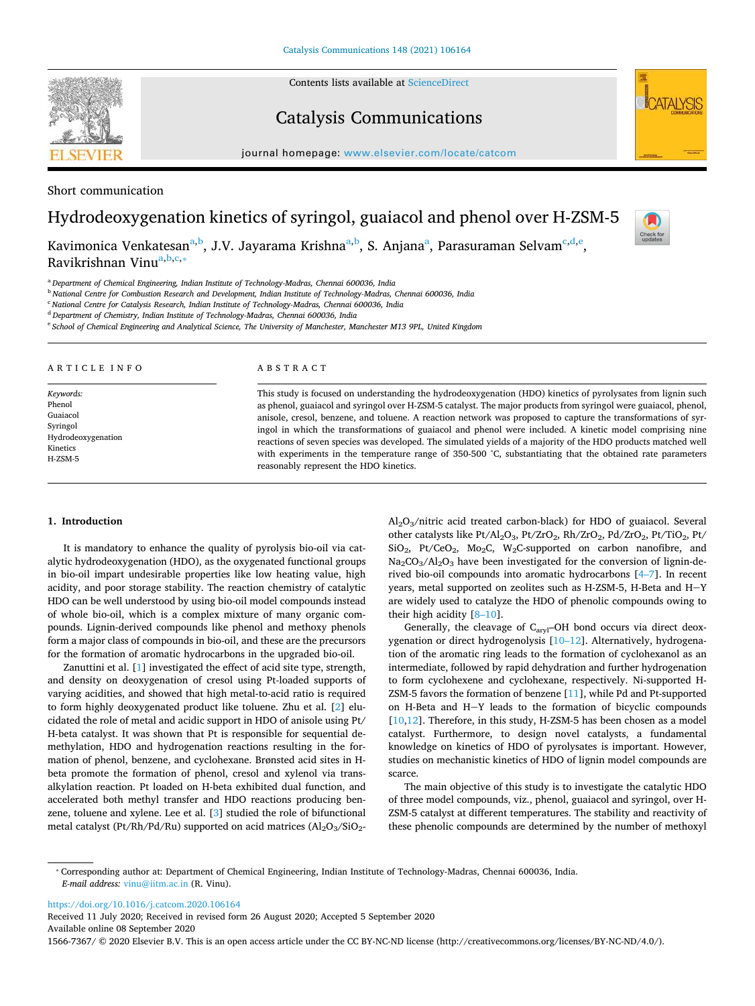Contents lists available at [ScienceDirect](http://www.sciencedirect.com/science/journal/15667367) 

# Catalysis Communications

journal homepage: [www.elsevier.com/locate/catcom](https://www.elsevier.com/locate/catcom) 

Short communication

# Hydrodeoxygenation kinetics of syringol, guaiacol and phenol over H-ZSM-5

Kavimonica Venkatesan<sup>[a,](#page-0-0)[b](#page-0-1)</sup>, J.V. J[a](#page-0-0)yarama Krishna<sup>a[,b](#page-0-1)</sup>, S. Anjana<sup>a</sup>, Parasuraman Selvam<sup>[c,](#page-0-2)[d](#page-0-3)[,e](#page-0-4)</sup>, R[a](#page-0-0)vikrishnan Vinu<sup>a[,b,](#page-0-1)[c,](#page-0-2)</sup>\*

<span id="page-0-0"></span><sup>a</sup>*Department of Chemical Engineering, Indian Institute of Technology-Madras, Chennai 600036, India* 

<span id="page-0-1"></span><sup>b</sup>*National Centre for Combustion Research and Development, Indian Institute of Technology-Madras, Chennai 600036, India* 

<span id="page-0-2"></span><sup>c</sup>*National Centre for Catalysis Research, Indian Institute of Technology-Madras, Chennai 600036, India* 

<span id="page-0-3"></span><sup>d</sup>*Department of Chemistry, Indian Institute of Technology-Madras, Chennai 600036, India* 

<span id="page-0-4"></span><sup>e</sup>*School of Chemical Engineering and Analytical Science, The University of Manchester, Manchester M13 9PL, United Kingdom* 

| ARTICLE INFO       | ABSTRACT                                                                                                        |
|--------------------|-----------------------------------------------------------------------------------------------------------------|
| Keywords:          | This study is focused on understanding the hydrodeoxygenation (HDO) kinetics of pyrolysates from lignin such    |
| Phenol             | as phenol, guaiacol and syringol over H-ZSM-5 catalyst. The major products from syringol were guaiacol, phenol, |
| Guaiacol           | anisole, cresol, benzene, and toluene. A reaction network was proposed to capture the transformations of syr-   |
| Syringol           | ingol in which the transformations of guaiacol and phenol were included. A kinetic model comprising nine        |
| Hydrodeoxygenation | reactions of seven species was developed. The simulated yields of a majority of the HDO products matched well   |
| Kinetics           | with experiments in the temperature range of 350-500 °C, substantiating that the obtained rate parameters       |
| H-ZSM-5            | reasonably represent the HDO kinetics.                                                                          |

# **1. Introduction**

It is mandatory to enhance the quality of pyrolysis bio-oil via catalytic hydrodeoxygenation (HDO), as the oxygenated functional groups in bio-oil impart undesirable properties like low heating value, high acidity, and poor storage stability. The reaction chemistry of catalytic HDO can be well understood by using bio-oil model compounds instead of whole bio-oil, which is a complex mixture of many organic compounds. Lignin-derived compounds like phenol and methoxy phenols form a major class of compounds in bio-oil, and these are the precursors for the formation of aromatic hydrocarbons in the upgraded bio-oil.

Zanuttini et al. [[1](#page-5-0)] investigated the effect of acid site type, strength, and density on deoxygenation of cresol using Pt-loaded supports of varying acidities, and showed that high metal-to-acid ratio is required to form highly deoxygenated product like toluene. Zhu et al. [\[2\]](#page-5-1) elucidated the role of metal and acidic support in HDO of anisole using Pt/ H-beta catalyst. It was shown that Pt is responsible for sequential demethylation, HDO and hydrogenation reactions resulting in the formation of phenol, benzene, and cyclohexane. Brønsted acid sites in Hbeta promote the formation of phenol, cresol and xylenol via transalkylation reaction. Pt loaded on H-beta exhibited dual function, and accelerated both methyl transfer and HDO reactions producing benzene, toluene and xylene. Lee et al. [\[3\]](#page-5-2) studied the role of bifunctional metal catalyst (Pt/Rh/Pd/Ru) supported on acid matrices  $(Al<sub>2</sub>O<sub>3</sub>/SiO<sub>2</sub>$ -

Al2O3/nitric acid treated carbon-black) for HDO of guaiacol. Several other catalysts like Pt/Al<sub>2</sub>O<sub>3</sub>, Pt/ZrO<sub>2</sub>, Rh/ZrO<sub>2</sub>, Pd/ZrO<sub>2</sub>, Pt/TiO<sub>2</sub>, Pt/ SiO2, Pt/CeO2, Mo2C, W2C-supported on carbon nanofibre, and  $Na<sub>2</sub>CO<sub>3</sub>/Al<sub>2</sub>O<sub>3</sub>$  have been investigated for the conversion of lignin-derived bio-oil compounds into aromatic hydrocarbons [[4–7\]](#page-5-3). In recent years, metal supported on zeolites such as H-ZSM-5, H-Beta and  $H-Y$ are widely used to catalyze the HDO of phenolic compounds owing to their high acidity [\[8–10\]](#page-5-4).

Generally, the cleavage of C<sub>aryl</sub>-OH bond occurs via direct deoxygenation or direct hydrogenolysis [[10–12\]](#page-5-5). Alternatively, hydrogenation of the aromatic ring leads to the formation of cyclohexanol as an intermediate, followed by rapid dehydration and further hydrogenation to form cyclohexene and cyclohexane, respectively. Ni-supported H-ZSM-5 favors the formation of benzene [\[11](#page-5-6)], while Pd and Pt-supported on H-Beta and H-Y leads to the formation of bicyclic compounds [[10](#page-5-5)[,12](#page-5-7)]. Therefore, in this study, H-ZSM-5 has been chosen as a model catalyst. Furthermore, to design novel catalysts, a fundamental knowledge on kinetics of HDO of pyrolysates is important. However, studies on mechanistic kinetics of HDO of lignin model compounds are scarce.

The main objective of this study is to investigate the catalytic HDO of three model compounds, viz., phenol, guaiacol and syringol, over H-ZSM-5 catalyst at different temperatures. The stability and reactivity of these phenolic compounds are determined by the number of methoxyl

<https://doi.org/10.1016/j.catcom.2020.106164>

Received 11 July 2020; Received in revised form 26 August 2020; Accepted 5 September 2020 Available online 08 September 2020

1566-7367/ © 2020 Elsevier B.V. This is an open access article under the CC BY-NC-ND license (http://creativecommons.org/licenses/BY-NC-ND/4.0/).





Check for<br>updates

<span id="page-0-5"></span><sup>⁎</sup> Corresponding author at: Department of Chemical Engineering, Indian Institute of Technology-Madras, Chennai 600036, India. *E-mail address:* [vinu@iitm.ac.in](mailto:vinu@iitm.ac.in) (R. Vinu).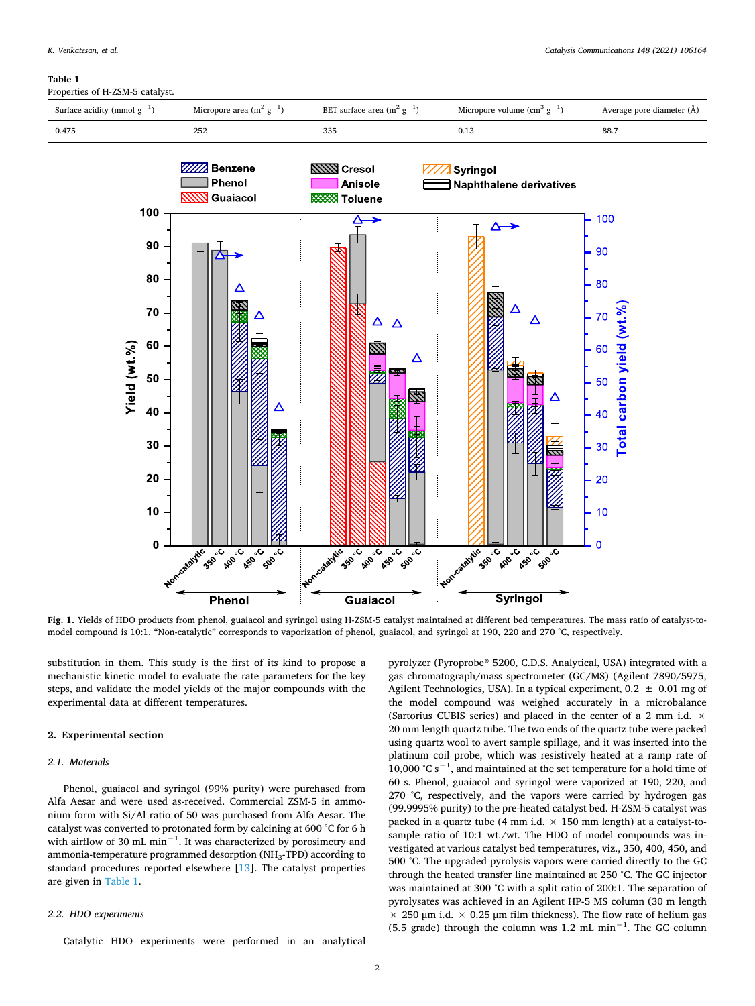#### <span id="page-1-0"></span>**Table 1**

Properties of H-ZSM-5 catalyst.

<span id="page-1-1"></span>

**Fig. 1.** Yields of HDO products from phenol, guaiacol and syringol using H-ZSM-5 catalyst maintained at different bed temperatures. The mass ratio of catalyst-tomodel compound is 10:1. "Non-catalytic" corresponds to vaporization of phenol, guaiacol, and syringol at 190, 220 and 270 °C, respectively.

substitution in them. This study is the first of its kind to propose a mechanistic kinetic model to evaluate the rate parameters for the key steps, and validate the model yields of the major compounds with the experimental data at different temperatures.

# **2. Experimental section**

# *2.1. Materials*

Phenol, guaiacol and syringol (99% purity) were purchased from Alfa Aesar and were used as-received. Commercial ZSM-5 in ammonium form with Si/Al ratio of 50 was purchased from Alfa Aesar. The catalyst was converted to protonated form by calcining at 600 °C for 6 h with airflow of 30 mL min<sup>-1</sup>. It was characterized by porosimetry and ammonia-temperature programmed desorption ( $NH<sub>3</sub>-TPD$ ) according to standard procedures reported elsewhere [[13](#page-5-8)]. The catalyst properties are given in [Table 1.](#page-1-0)

#### *2.2. HDO experiments*

Catalytic HDO experiments were performed in an analytical

pyrolyzer (Pyroprobe® 5200, C.D.S. Analytical, USA) integrated with a gas chromatograph/mass spectrometer (GC/MS) (Agilent 7890/5975, Agilent Technologies, USA). In a typical experiment,  $0.2 \pm 0.01$  mg of the model compound was weighed accurately in a microbalance (Sartorius CUBIS series) and placed in the center of a 2 mm i.d. × 20 mm length quartz tube. The two ends of the quartz tube were packed using quartz wool to avert sample spillage, and it was inserted into the platinum coil probe, which was resistively heated at a ramp rate of 10,000 °C s<sup>−1</sup>, and maintained at the set temperature for a hold time of 60 s. Phenol, guaiacol and syringol were vaporized at 190, 220, and 270 °C, respectively, and the vapors were carried by hydrogen gas (99.9995% purity) to the pre-heated catalyst bed. H-ZSM-5 catalyst was packed in a quartz tube (4 mm i.d.  $\times$  150 mm length) at a catalyst-tosample ratio of 10:1 wt./wt. The HDO of model compounds was investigated at various catalyst bed temperatures, viz., 350, 400, 450, and 500 °C. The upgraded pyrolysis vapors were carried directly to the GC through the heated transfer line maintained at 250 °C. The GC injector was maintained at 300 °C with a split ratio of 200:1. The separation of pyrolysates was achieved in an Agilent HP-5 MS column (30 m length  $\times$  250 μm i.d.  $\times$  0.25 μm film thickness). The flow rate of helium gas (5.5 grade) through the column was 1.2 mL min<sup>-1</sup>. The GC column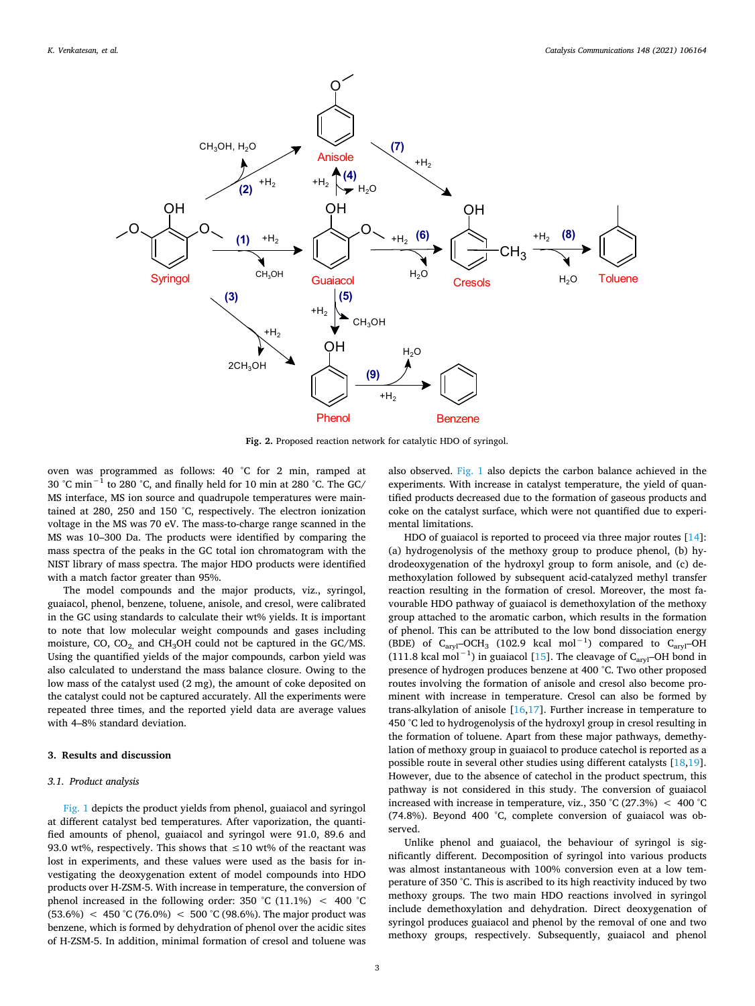<span id="page-2-0"></span>

**Fig. 2.** Proposed reaction network for catalytic HDO of syringol.

oven was programmed as follows: 40 °C for 2 min, ramped at 30 °C min−1 to 280 °C, and finally held for 10 min at 280 °C. The GC/ MS interface, MS ion source and quadrupole temperatures were maintained at 280, 250 and 150 °C, respectively. The electron ionization voltage in the MS was 70 eV. The mass-to-charge range scanned in the MS was 10–300 Da. The products were identified by comparing the mass spectra of the peaks in the GC total ion chromatogram with the NIST library of mass spectra. The major HDO products were identified with a match factor greater than 95%.

The model compounds and the major products, viz., syringol, guaiacol, phenol, benzene, toluene, anisole, and cresol, were calibrated in the GC using standards to calculate their wt% yields. It is important to note that low molecular weight compounds and gases including moisture, CO,  $CO<sub>2</sub>$  and  $CH<sub>3</sub>OH$  could not be captured in the GC/MS. Using the quantified yields of the major compounds, carbon yield was also calculated to understand the mass balance closure. Owing to the low mass of the catalyst used (2 mg), the amount of coke deposited on the catalyst could not be captured accurately. All the experiments were repeated three times, and the reported yield data are average values with 4–8% standard deviation.

# **3. Results and discussion**

### *3.1. Product analysis*

[Fig. 1](#page-1-1) depicts the product yields from phenol, guaiacol and syringol at different catalyst bed temperatures. After vaporization, the quantified amounts of phenol, guaiacol and syringol were 91.0, 89.6 and 93.0 wt%, respectively. This shows that  $\leq 10$  wt% of the reactant was lost in experiments, and these values were used as the basis for investigating the deoxygenation extent of model compounds into HDO products over H-ZSM-5. With increase in temperature, the conversion of phenol increased in the following order: 350 °C (11.1%)  $\leq$  400 °C  $(53.6%) < 450 °C (76.0%) < 500 °C (98.6%).$  The major product was benzene, which is formed by dehydration of phenol over the acidic sites of H-ZSM-5. In addition, minimal formation of cresol and toluene was also observed. [Fig. 1](#page-1-1) also depicts the carbon balance achieved in the experiments. With increase in catalyst temperature, the yield of quantified products decreased due to the formation of gaseous products and coke on the catalyst surface, which were not quantified due to experimental limitations.

HDO of guaiacol is reported to proceed via three major routes [\[14](#page-5-9)]: (a) hydrogenolysis of the methoxy group to produce phenol, (b) hydrodeoxygenation of the hydroxyl group to form anisole, and (c) demethoxylation followed by subsequent acid-catalyzed methyl transfer reaction resulting in the formation of cresol. Moreover, the most favourable HDO pathway of guaiacol is demethoxylation of the methoxy group attached to the aromatic carbon, which results in the formation of phenol. This can be attributed to the low bond dissociation energy (BDE) of  $C_{\text{arvl}}$ –OCH<sub>3</sub> (102.9 kcal mol<sup>-1</sup>) compared to  $C_{\text{arvl}}$ –OH (111.8 kcal mol<sup>-1</sup>) in guaiacol [\[15](#page-5-10)]. The cleavage of C<sub>aryl</sub>-OH bond in presence of hydrogen produces benzene at 400 °C. Two other proposed routes involving the formation of anisole and cresol also become prominent with increase in temperature. Cresol can also be formed by trans-alkylation of anisole  $[16,17]$  $[16,17]$  $[16,17]$ . Further increase in temperature to 450 °C led to hydrogenolysis of the hydroxyl group in cresol resulting in the formation of toluene. Apart from these major pathways, demethylation of methoxy group in guaiacol to produce catechol is reported as a possible route in several other studies using different catalysts [[18,](#page-5-13)[19](#page-5-14)]. However, due to the absence of catechol in the product spectrum, this pathway is not considered in this study. The conversion of guaiacol increased with increase in temperature, viz., 350 °C (27.3%)  $\lt$  400 °C (74.8%). Beyond 400 °C, complete conversion of guaiacol was observed.

Unlike phenol and guaiacol, the behaviour of syringol is significantly different. Decomposition of syringol into various products was almost instantaneous with 100% conversion even at a low temperature of 350 °C. This is ascribed to its high reactivity induced by two methoxy groups. The two main HDO reactions involved in syringol include demethoxylation and dehydration. Direct deoxygenation of syringol produces guaiacol and phenol by the removal of one and two methoxy groups, respectively. Subsequently, guaiacol and phenol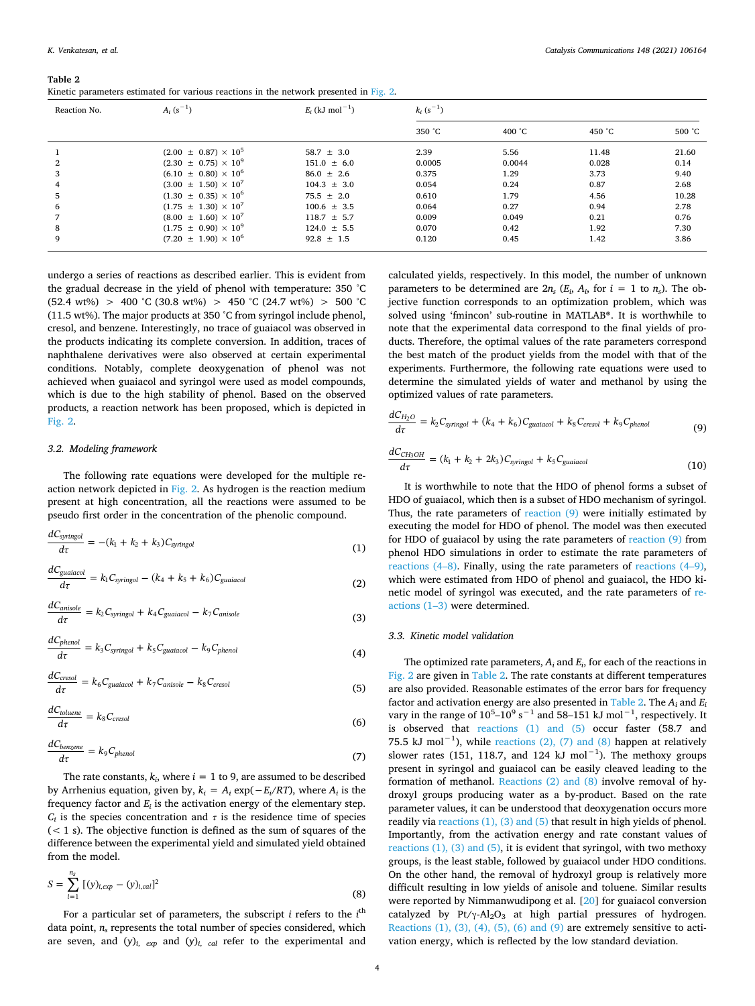<span id="page-3-3"></span>

|--|

|  |  | Kinetic parameters estimated for various reactions in the network presented in Fig. 2. |
|--|--|----------------------------------------------------------------------------------------|
|--|--|----------------------------------------------------------------------------------------|

| Reaction No. | $A_i$ (s <sup>-1</sup> )        | $E_i$ (kJ mol <sup>-1</sup> ) | $k_i$ (s <sup>-1</sup> ) |                  |        |        |
|--------------|---------------------------------|-------------------------------|--------------------------|------------------|--------|--------|
|              |                                 |                               | 350 °C                   | 400 $^{\circ}$ C | 450 °C | 500 °C |
|              | $(2.00 \pm 0.87) \times 10^5$   | $58.7 \pm 3.0$                | 2.39                     | 5.56             | 11.48  | 21.60  |
|              | $(2.30 \pm 0.75) \times 10^{9}$ | $151.0 \pm 6.0$               | 0.0005                   | 0.0044           | 0.028  | 0.14   |
| 3            | $(6.10 \pm 0.80) \times 10^6$   | $86.0 \pm 2.6$                | 0.375                    | 1.29             | 3.73   | 9.40   |
|              | $(3.00 \pm 1.50) \times 10^7$   | $104.3 \pm 3.0$               | 0.054                    | 0.24             | 0.87   | 2.68   |
| 5            | $(1.30 \pm 0.35) \times 10^6$   | $75.5 \pm 2.0$                | 0.610                    | 1.79             | 4.56   | 10.28  |
| 6            | $(1.75 \pm 1.30) \times 10^7$   | $100.6 \pm 3.5$               | 0.064                    | 0.27             | 0.94   | 2.78   |
|              | $(8.00 \pm 1.60) \times 10^7$   | $118.7 \pm 5.7$               | 0.009                    | 0.049            | 0.21   | 0.76   |
| 8            | $(1.75 \pm 0.90) \times 10^{9}$ | $124.0 \pm 5.5$               | 0.070                    | 0.42             | 1.92   | 7.30   |
| 9            | $(7.20 \pm 1.90) \times 10^6$   | $92.8 \pm 1.5$                | 0.120                    | 0.45             | 1.42   | 3.86   |

undergo a series of reactions as described earlier. This is evident from the gradual decrease in the yield of phenol with temperature: 350 °C  $(52.4 \text{ wt\%}) > 400 \text{ °C} (30.8 \text{ wt\%}) > 450 \text{ °C} (24.7 \text{ wt\%}) > 500 \text{ °C}$ (11.5 wt%). The major products at 350 °C from syringol include phenol, cresol, and benzene. Interestingly, no trace of guaiacol was observed in the products indicating its complete conversion. In addition, traces of naphthalene derivatives were also observed at certain experimental conditions. Notably, complete deoxygenation of phenol was not achieved when guaiacol and syringol were used as model compounds, which is due to the high stability of phenol. Based on the observed products, a reaction network has been proposed, which is depicted in [Fig. 2.](#page-2-0)

### *3.2. Modeling framework*

The following rate equations were developed for the multiple reaction network depicted in [Fig. 2](#page-2-0). As hydrogen is the reaction medium present at high concentration, all the reactions were assumed to be pseudo first order in the concentration of the phenolic compound.

<span id="page-3-2"></span>
$$
\frac{dC_{\text{syringol}}}{d\tau} = -(k_1 + k_2 + k_3)C_{\text{syringol}} \tag{1}
$$

<span id="page-3-4"></span>
$$
\frac{dC_{\text{guaiacol}}}{d\tau} = k_1 C_{\text{syringol}} - (k_4 + k_5 + k_6) C_{\text{guaiacol}} \tag{2}
$$

$$
\frac{dC_{anisole}}{d\tau} = k_2 C_{\text{syringol}} + k_4 C_{\text{guaiacol}} - k_7 C_{\text{anisole}}
$$
\n(3)

<span id="page-3-1"></span>
$$
\frac{dC_{phenol}}{d\tau} = k_3 C_{\text{syringol}} + k_5 C_{\text{guaiacol}} - k_9 C_{phenol} \tag{4}
$$

$$
\frac{dC_{cresol}}{dt} = k_6 C_{guaiacol} + k_7 C_{anisol} - k_8 C_{cresol}
$$
\n(5)

$$
\frac{dC_{toluene}}{d\tau} = k_8 C_{cresol} \tag{6}
$$

$$
\frac{dC_{benzene}}{d\tau} = k_9 C_{phenol} \tag{7}
$$

The rate constants,  $k_i$ , where  $i = 1$  to 9, are assumed to be described by Arrhenius equation, given by,  $k_i = A_i \exp(-E_i/RT)$ , where  $A_i$  is the frequency factor and  $E_i$  is the activation energy of the elementary step.  $C_i$  is the species concentration and  $\tau$  is the residence time of species  $(< 1 s)$ . The objective function is defined as the sum of squares of the difference between the experimental yield and simulated yield obtained from the model.

$$
S = \sum_{i=1}^{n_s} [(y)_{i,exp} - (y)_{i,cal}]^2
$$
 (8)

For a particular set of parameters, the subscript *i* refers to the *i*<sup>th</sup> data point, *ns* represents the total number of species considered, which are seven, and  $(y)_{i}$ ,  $_{exp}$  and  $(y)_{i}$ ,  $_{cal}$  refer to the experimental and

calculated yields, respectively. In this model, the number of unknown parameters to be determined are  $2n_s$  ( $E_i$ ,  $A_i$ , for  $i = 1$  to  $n_s$ ). The objective function corresponds to an optimization problem, which was solved using 'fmincon' sub-routine in MATLAB®. It is worthwhile to note that the experimental data correspond to the final yields of products. Therefore, the optimal values of the rate parameters correspond the best match of the product yields from the model with that of the experiments. Furthermore, the following rate equations were used to determine the simulated yields of water and methanol by using the optimized values of rate parameters.

<span id="page-3-0"></span>
$$
\frac{dC_{H_2O}}{d\tau} = k_2 C_{\text{syringol}} + (k_4 + k_6) C_{\text{guaiacol}} + k_8 C_{\text{crossol}} + k_9 C_{\text{phenol}} \tag{9}
$$

$$
\frac{dC_{CH_3OH}}{d\tau} = (k_1 + k_2 + 2k_3)C_{\text{syringol}} + k_5C_{\text{guaiacol}}
$$
\n(10)

It is worthwhile to note that the HDO of phenol forms a subset of HDO of guaiacol, which then is a subset of HDO mechanism of syringol. Thus, the rate parameters of [reaction \(9\)](#page-3-0) were initially estimated by executing the model for HDO of phenol. The model was then executed for HDO of guaiacol by using the rate parameters of [reaction \(9\)](#page-3-0) from phenol HDO simulations in order to estimate the rate parameters of [reactions \(4–8\).](#page-3-1) Finally, using the rate parameters of [reactions \(4–9\)](#page-3-1), which were estimated from HDO of phenol and guaiacol, the HDO kinetic model of syringol was executed, and the rate parameters of [re](#page-3-2)[actions \(1–3\)](#page-3-2) were determined.

#### *3.3. Kinetic model validation*

The optimized rate parameters,  $A_i$  and  $E_i$ , for each of the reactions in [Fig. 2](#page-2-0) are given in [Table 2.](#page-3-3) The rate constants at different temperatures are also provided. Reasonable estimates of the error bars for frequency factor and activation energy are also presented in [Table 2.](#page-3-3) The  $A_i$  and  $E_i$ vary in the range of  $10^5$ – $10^9$  s<sup>-1</sup> and 58–151 kJ mol<sup>-1</sup>, respectively. It is observed that [reactions \(1\) and \(5\)](#page-3-2) occur faster (58.7 and 75.5 kJ mol<sup>-1</sup>), while [reactions \(2\), \(7\) and \(8\)](#page-3-4) happen at relatively slower rates (151, 118.7, and 124 kJ mol<sup>-1</sup>). The methoxy groups present in syringol and guaiacol can be easily cleaved leading to the formation of methanol. [Reactions \(2\) and \(8\)](#page-3-4) involve removal of hydroxyl groups producing water as a by-product. Based on the rate parameter values, it can be understood that deoxygenation occurs more readily via [reactions \(1\), \(3\) and \(5\)](#page-3-2) that result in high yields of phenol. Importantly, from the activation energy and rate constant values of [reactions \(1\), \(3\) and \(5\),](#page-3-2) it is evident that syringol, with two methoxy groups, is the least stable, followed by guaiacol under HDO conditions. On the other hand, the removal of hydroxyl group is relatively more difficult resulting in low yields of anisole and toluene. Similar results were reported by Nimmanwudipong et al. [\[20](#page-5-15)] for guaiacol conversion catalyzed by  $Pt/\gamma$ -Al<sub>2</sub>O<sub>3</sub> at high partial pressures of hydrogen. [Reactions \(1\), \(3\), \(4\), \(5\), \(6\) and \(9\)](#page-3-2) are extremely sensitive to activation energy, which is reflected by the low standard deviation.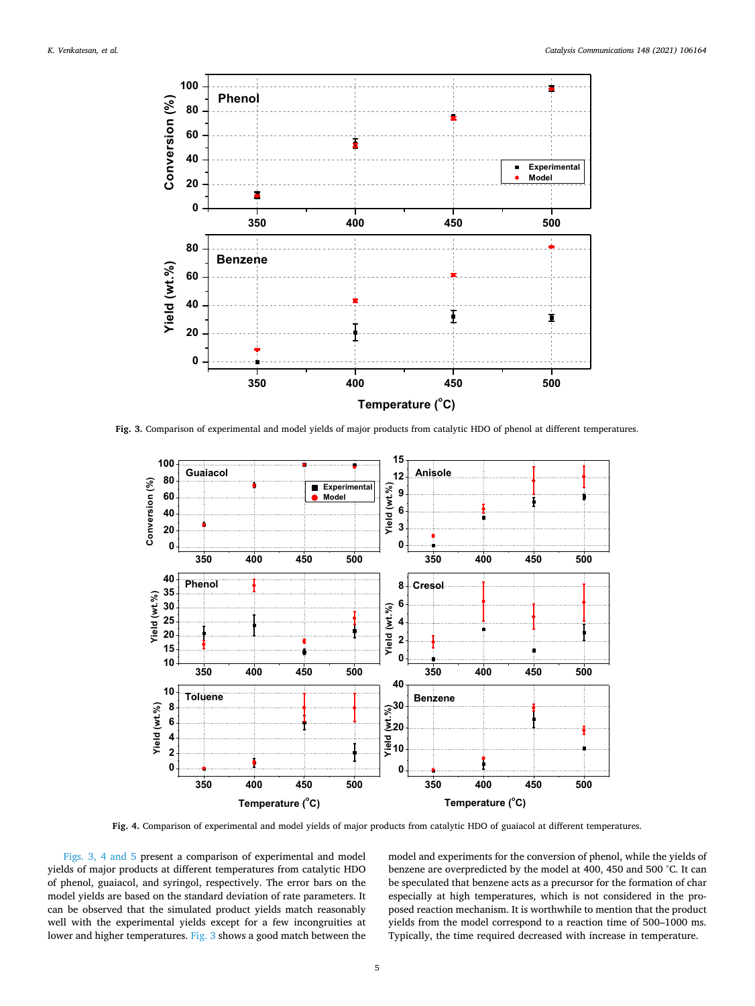<span id="page-4-0"></span>

**Fig. 3.** Comparison of experimental and model yields of major products from catalytic HDO of phenol at different temperatures.



**Fig. 4.** Comparison of experimental and model yields of major products from catalytic HDO of guaiacol at different temperatures.

[Figs. 3, 4 and 5](#page-4-0) present a comparison of experimental and model yields of major products at different temperatures from catalytic HDO of phenol, guaiacol, and syringol, respectively. The error bars on the model yields are based on the standard deviation of rate parameters. It can be observed that the simulated product yields match reasonably well with the experimental yields except for a few incongruities at lower and higher temperatures. [Fig. 3](#page-4-0) shows a good match between the model and experiments for the conversion of phenol, while the yields of benzene are overpredicted by the model at 400, 450 and 500 °C. It can be speculated that benzene acts as a precursor for the formation of char especially at high temperatures, which is not considered in the proposed reaction mechanism. It is worthwhile to mention that the product yields from the model correspond to a reaction time of 500–1000 ms. Typically, the time required decreased with increase in temperature.